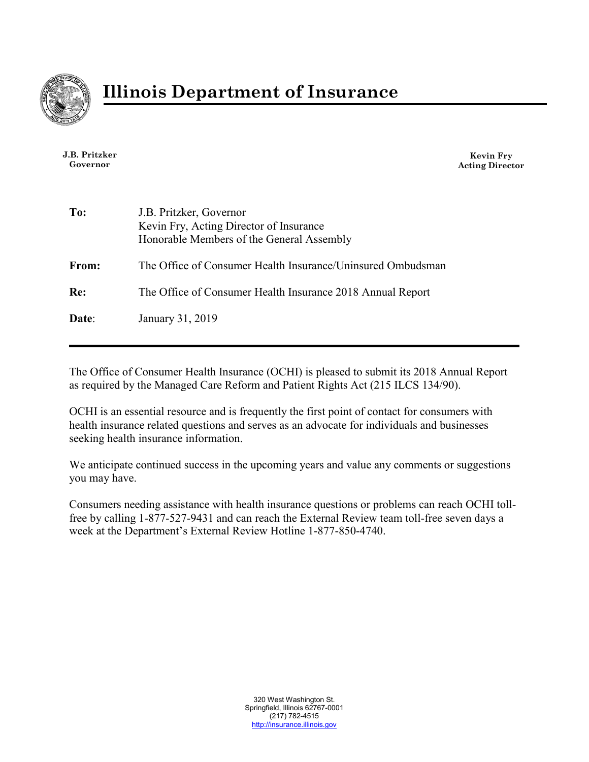

**J.B. Pritzker Governor**

**Kevin Fry Acting Director**

| To:   | J.B. Pritzker, Governor<br>Kevin Fry, Acting Director of Insurance<br>Honorable Members of the General Assembly |
|-------|-----------------------------------------------------------------------------------------------------------------|
| From: | The Office of Consumer Health Insurance/Uninsured Ombudsman                                                     |
| Re:   | The Office of Consumer Health Insurance 2018 Annual Report                                                      |
| Date: | January 31, 2019                                                                                                |

The Office of Consumer Health Insurance (OCHI) is pleased to submit its 2018 Annual Report as required by the Managed Care Reform and Patient Rights Act (215 ILCS 134/90).

OCHI is an essential resource and is frequently the first point of contact for consumers with health insurance related questions and serves as an advocate for individuals and businesses seeking health insurance information.

We anticipate continued success in the upcoming years and value any comments or suggestions you may have.

Consumers needing assistance with health insurance questions or problems can reach OCHI tollfree by calling 1-877-527-9431 and can reach the External Review team toll-free seven days a week at the Department's External Review Hotline 1-877-850-4740.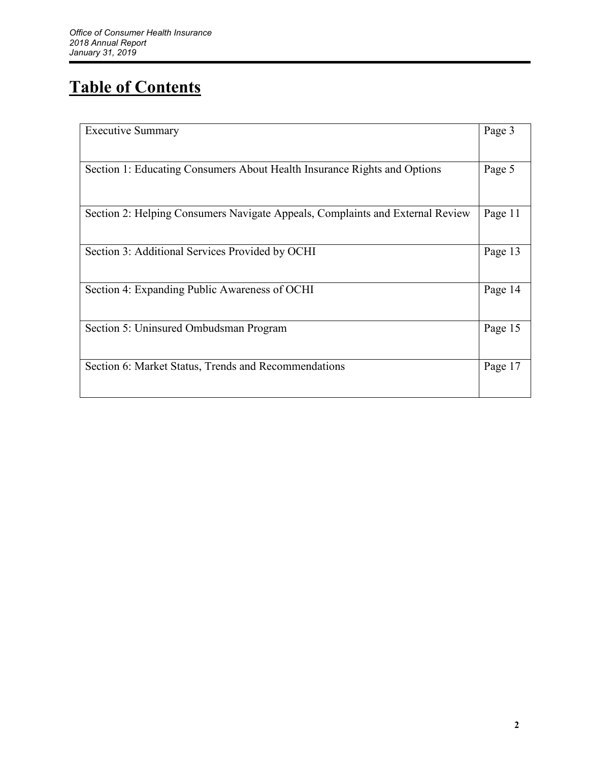# **Table of Contents**

| <b>Executive Summary</b>                                                      | Page 3  |
|-------------------------------------------------------------------------------|---------|
| Section 1: Educating Consumers About Health Insurance Rights and Options      | Page 5  |
|                                                                               |         |
| Section 2: Helping Consumers Navigate Appeals, Complaints and External Review | Page 11 |
| Section 3: Additional Services Provided by OCHI                               | Page 13 |
| Section 4: Expanding Public Awareness of OCHI                                 | Page 14 |
| Section 5: Uninsured Ombudsman Program                                        | Page 15 |
| Section 6: Market Status, Trends and Recommendations                          | Page 17 |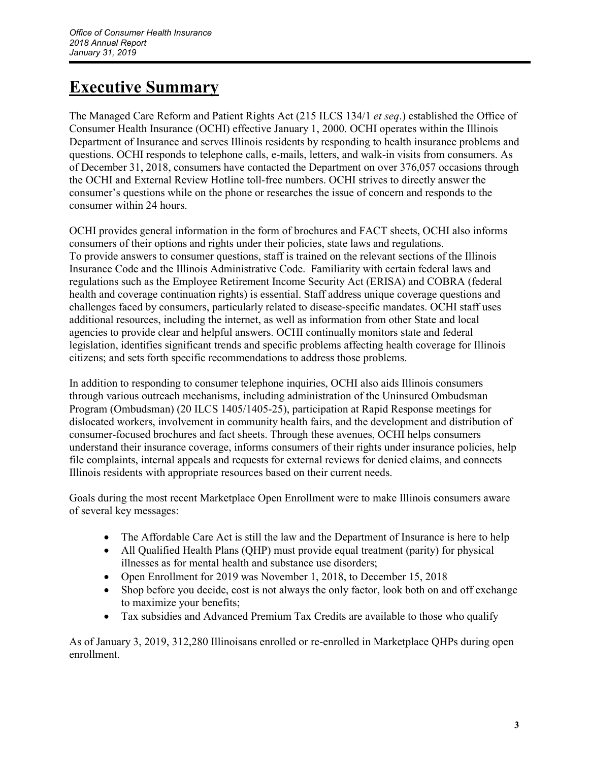## **Executive Summary**

The Managed Care Reform and Patient Rights Act (215 ILCS 134/1 *et seq*.) established the Office of Consumer Health Insurance (OCHI) effective January 1, 2000. OCHI operates within the Illinois Department of Insurance and serves Illinois residents by responding to health insurance problems and questions. OCHI responds to telephone calls, e-mails, letters, and walk-in visits from consumers. As of December 31, 2018, consumers have contacted the Department on over 376,057 occasions through the OCHI and External Review Hotline toll-free numbers. OCHI strives to directly answer the consumer's questions while on the phone or researches the issue of concern and responds to the consumer within 24 hours.

OCHI provides general information in the form of brochures and FACT sheets, OCHI also informs consumers of their options and rights under their policies, state laws and regulations. To provide answers to consumer questions, staff is trained on the relevant sections of the Illinois Insurance Code and the Illinois Administrative Code. Familiarity with certain federal laws and regulations such as the Employee Retirement Income Security Act (ERISA) and COBRA (federal health and coverage continuation rights) is essential. Staff address unique coverage questions and challenges faced by consumers, particularly related to disease-specific mandates. OCHI staff uses additional resources, including the internet, as well as information from other State and local agencies to provide clear and helpful answers. OCHI continually monitors state and federal legislation, identifies significant trends and specific problems affecting health coverage for Illinois citizens; and sets forth specific recommendations to address those problems.

In addition to responding to consumer telephone inquiries, OCHI also aids Illinois consumers through various outreach mechanisms, including administration of the Uninsured Ombudsman Program (Ombudsman) (20 ILCS 1405/1405-25), participation at Rapid Response meetings for dislocated workers, involvement in community health fairs, and the development and distribution of consumer-focused brochures and fact sheets. Through these avenues, OCHI helps consumers understand their insurance coverage, informs consumers of their rights under insurance policies, help file complaints, internal appeals and requests for external reviews for denied claims, and connects Illinois residents with appropriate resources based on their current needs.

Goals during the most recent Marketplace Open Enrollment were to make Illinois consumers aware of several key messages:

- The Affordable Care Act is still the law and the Department of Insurance is here to help
- All Qualified Health Plans (QHP) must provide equal treatment (parity) for physical illnesses as for mental health and substance use disorders;
- Open Enrollment for 2019 was November 1, 2018, to December 15, 2018
- Shop before you decide, cost is not always the only factor, look both on and off exchange to maximize your benefits;
- Tax subsidies and Advanced Premium Tax Credits are available to those who qualify

As of January 3, 2019, 312,280 Illinoisans enrolled or re-enrolled in Marketplace QHPs during open enrollment.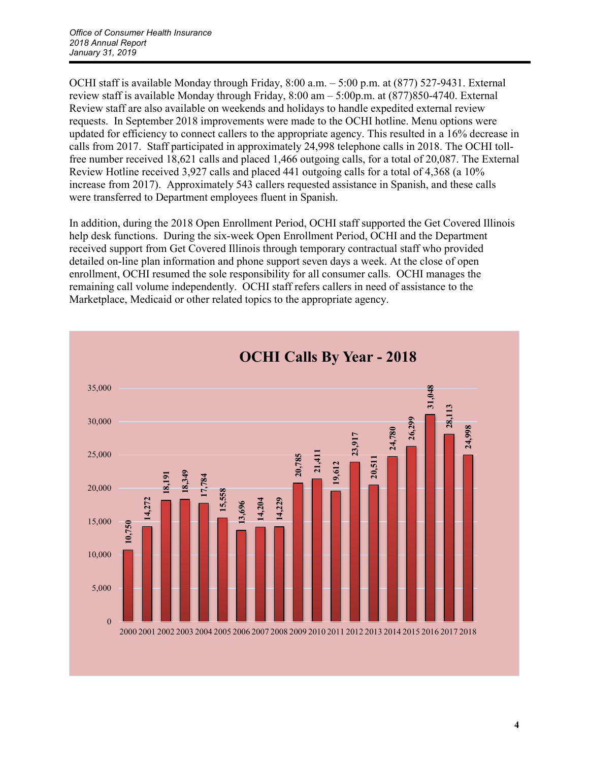OCHI staff is available Monday through Friday, 8:00 a.m. – 5:00 p.m. at (877) 527-9431. External review staff is available Monday through Friday, 8:00 am – 5:00p.m. at (877)850-4740. External Review staff are also available on weekends and holidays to handle expedited external review requests. In September 2018 improvements were made to the OCHI hotline. Menu options were updated for efficiency to connect callers to the appropriate agency. This resulted in a 16% decrease in calls from 2017. Staff participated in approximately 24,998 telephone calls in 2018. The OCHI tollfree number received 18,621 calls and placed 1,466 outgoing calls, for a total of 20,087. The External Review Hotline received 3,927 calls and placed 441 outgoing calls for a total of 4,368 (a 10% increase from 2017). Approximately 543 callers requested assistance in Spanish, and these calls were transferred to Department employees fluent in Spanish.

In addition, during the 2018 Open Enrollment Period, OCHI staff supported the Get Covered Illinois help desk functions. During the six-week Open Enrollment Period, OCHI and the Department received support from Get Covered Illinois through temporary contractual staff who provided detailed on-line plan information and phone support seven days a week. At the close of open enrollment, OCHI resumed the sole responsibility for all consumer calls. OCHI manages the remaining call volume independently. OCHI staff refers callers in need of assistance to the Marketplace, Medicaid or other related topics to the appropriate agency.

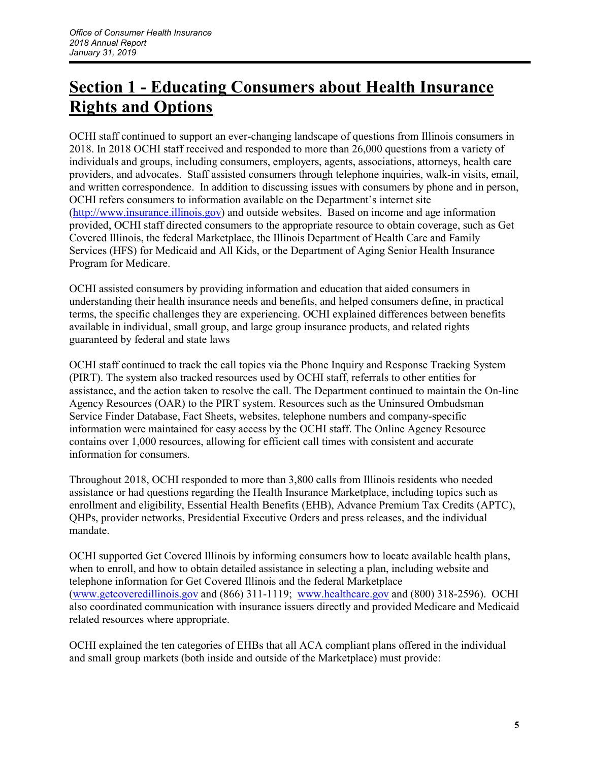## **Section 1 - Educating Consumers about Health Insurance Rights and Options**

OCHI staff continued to support an ever-changing landscape of questions from Illinois consumers in 2018. In 2018 OCHI staff received and responded to more than 26,000 questions from a variety of individuals and groups, including consumers, employers, agents, associations, attorneys, health care providers, and advocates. Staff assisted consumers through telephone inquiries, walk-in visits, email, and written correspondence. In addition to discussing issues with consumers by phone and in person, OCHI refers consumers to information available on the Department's internet site [\(http://www.insurance.illinois.gov\)](http://www.insurance.illinois.gov/) and outside websites. Based on income and age information provided, OCHI staff directed consumers to the appropriate resource to obtain coverage, such as Get Covered Illinois, the federal Marketplace, the Illinois Department of Health Care and Family Services (HFS) for Medicaid and All Kids, or the Department of Aging Senior Health Insurance Program for Medicare.

OCHI assisted consumers by providing information and education that aided consumers in understanding their health insurance needs and benefits, and helped consumers define, in practical terms, the specific challenges they are experiencing. OCHI explained differences between benefits available in individual, small group, and large group insurance products, and related rights guaranteed by federal and state laws

OCHI staff continued to track the call topics via the Phone Inquiry and Response Tracking System (PIRT). The system also tracked resources used by OCHI staff, referrals to other entities for assistance, and the action taken to resolve the call. The Department continued to maintain the On-line Agency Resources (OAR) to the PIRT system. Resources such as the Uninsured Ombudsman Service Finder Database, Fact Sheets, websites, telephone numbers and company-specific information were maintained for easy access by the OCHI staff. The Online Agency Resource contains over 1,000 resources, allowing for efficient call times with consistent and accurate information for consumers.

Throughout 2018, OCHI responded to more than 3,800 calls from Illinois residents who needed assistance or had questions regarding the Health Insurance Marketplace, including topics such as enrollment and eligibility, Essential Health Benefits (EHB), Advance Premium Tax Credits (APTC), QHPs, provider networks, Presidential Executive Orders and press releases, and the individual mandate.

OCHI supported Get Covered Illinois by informing consumers how to locate available health plans, when to enroll, and how to obtain detailed assistance in selecting a plan, including website and telephone information for Get Covered Illinois and the federal Marketplace [\(www.getcoveredillinois.gov](http://www.getcoveredillinois.gov/) and (866) 311-1119; [www.healthcare.gov](http://www.healthcare.gov/) and (800) 318-2596). OCHI also coordinated communication with insurance issuers directly and provided Medicare and Medicaid related resources where appropriate.

OCHI explained the ten categories of EHBs that all ACA compliant plans offered in the individual and small group markets (both inside and outside of the Marketplace) must provide: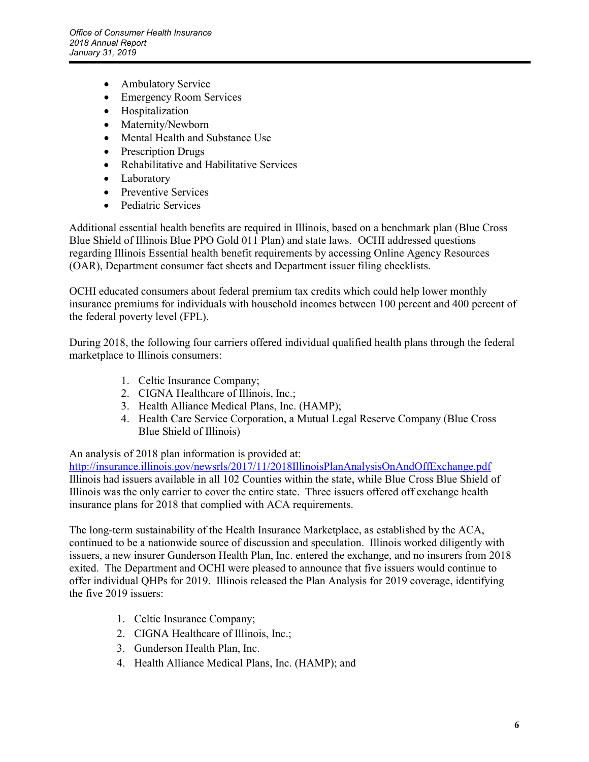- Ambulatory Service
- Emergency Room Services
- Hospitalization
- Maternity/Newborn
- Mental Health and Substance Use
- Prescription Drugs
- Rehabilitative and Habilitative Services
- Laboratory
- Preventive Services
- Pediatric Services

Additional essential health benefits are required in Illinois, based on a benchmark plan (Blue Cross Blue Shield of Illinois Blue PPO Gold 011 Plan) and state laws. OCHI addressed questions regarding Illinois Essential health benefit requirements by accessing Online Agency Resources (OAR), Department consumer fact sheets and Department issuer filing checklists.

OCHI educated consumers about federal premium tax credits which could help lower monthly insurance premiums for individuals with household incomes between 100 percent and 400 percent of the federal poverty level (FPL).

During 2018, the following four carriers offered individual qualified health plans through the federal marketplace to Illinois consumers:

- 1. Celtic Insurance Company;
- 2. CIGNA Healthcare of Illinois, Inc.;
- 3. Health Alliance Medical Plans, Inc. (HAMP);
- 4. Health Care Service Corporation, a Mutual Legal Reserve Company (Blue Cross Blue Shield of Illinois)

#### An analysis of 2018 plan information is provided at:

<http://insurance.illinois.gov/newsrls/2017/11/2018IllinoisPlanAnalysisOnAndOffExchange.pdf> Illinois had issuers available in all 102 Counties within the state, while Blue Cross Blue Shield of Illinois was the only carrier to cover the entire state. Three issuers offered off exchange health insurance plans for 2018 that complied with ACA requirements.

The long-term sustainability of the Health Insurance Marketplace, as established by the ACA, continued to be a nationwide source of discussion and speculation. Illinois worked diligently with issuers, a new insurer Gunderson Health Plan, Inc. entered the exchange, and no insurers from 2018 exited. The Department and OCHI were pleased to announce that five issuers would continue to offer individual QHPs for 2019. Illinois released the Plan Analysis for 2019 coverage, identifying the five 2019 issuers:

- 1. Celtic Insurance Company;
- 2. CIGNA Healthcare of Illinois, Inc.;
- 3. Gunderson Health Plan, Inc.
- 4. Health Alliance Medical Plans, Inc. (HAMP); and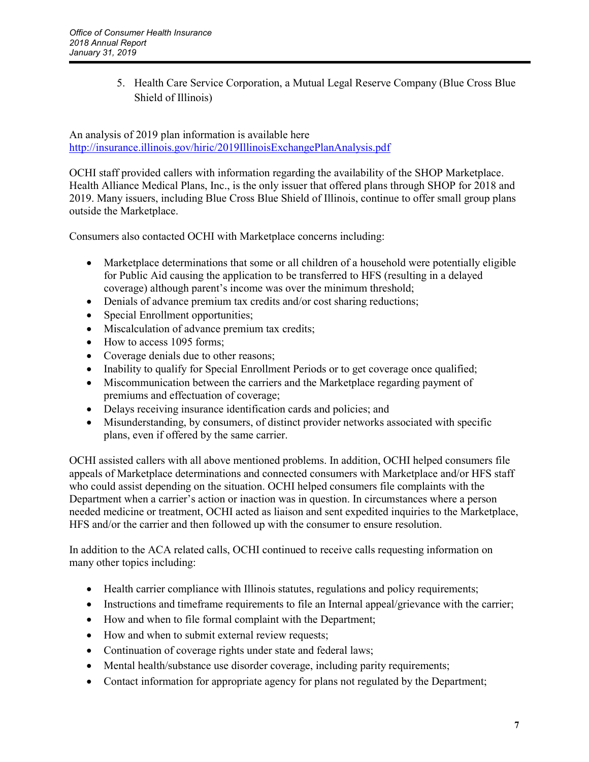5. Health Care Service Corporation, a Mutual Legal Reserve Company (Blue Cross Blue Shield of Illinois)

An analysis of 2019 plan information is available here <http://insurance.illinois.gov/hiric/2019IllinoisExchangePlanAnalysis.pdf>

OCHI staff provided callers with information regarding the availability of the SHOP Marketplace. Health Alliance Medical Plans, Inc., is the only issuer that offered plans through SHOP for 2018 and 2019. Many issuers, including Blue Cross Blue Shield of Illinois, continue to offer small group plans outside the Marketplace.

Consumers also contacted OCHI with Marketplace concerns including:

- Marketplace determinations that some or all children of a household were potentially eligible for Public Aid causing the application to be transferred to HFS (resulting in a delayed coverage) although parent's income was over the minimum threshold;
- Denials of advance premium tax credits and/or cost sharing reductions;
- Special Enrollment opportunities;
- Miscalculation of advance premium tax credits;
- How to access 1095 forms;
- Coverage denials due to other reasons:
- Inability to qualify for Special Enrollment Periods or to get coverage once qualified;
- Miscommunication between the carriers and the Marketplace regarding payment of premiums and effectuation of coverage;
- Delays receiving insurance identification cards and policies; and
- Misunderstanding, by consumers, of distinct provider networks associated with specific plans, even if offered by the same carrier.

OCHI assisted callers with all above mentioned problems. In addition, OCHI helped consumers file appeals of Marketplace determinations and connected consumers with Marketplace and/or HFS staff who could assist depending on the situation. OCHI helped consumers file complaints with the Department when a carrier's action or inaction was in question. In circumstances where a person needed medicine or treatment, OCHI acted as liaison and sent expedited inquiries to the Marketplace, HFS and/or the carrier and then followed up with the consumer to ensure resolution.

In addition to the ACA related calls, OCHI continued to receive calls requesting information on many other topics including:

- Health carrier compliance with Illinois statutes, regulations and policy requirements;
- Instructions and timeframe requirements to file an Internal appeal/grievance with the carrier;
- How and when to file formal complaint with the Department;
- How and when to submit external review requests;
- Continuation of coverage rights under state and federal laws;
- Mental health/substance use disorder coverage, including parity requirements;
- Contact information for appropriate agency for plans not regulated by the Department;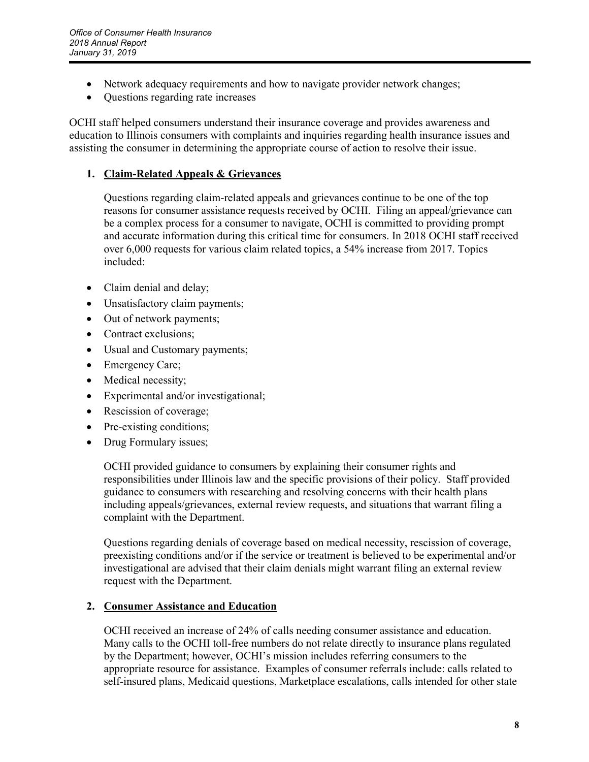- Network adequacy requirements and how to navigate provider network changes;
- Questions regarding rate increases

OCHI staff helped consumers understand their insurance coverage and provides awareness and education to Illinois consumers with complaints and inquiries regarding health insurance issues and assisting the consumer in determining the appropriate course of action to resolve their issue.

#### **1. Claim-Related Appeals & Grievances**

Questions regarding claim-related appeals and grievances continue to be one of the top reasons for consumer assistance requests received by OCHI. Filing an appeal/grievance can be a complex process for a consumer to navigate, OCHI is committed to providing prompt and accurate information during this critical time for consumers. In 2018 OCHI staff received over 6,000 requests for various claim related topics, a 54% increase from 2017. Topics included:

- Claim denial and delay;
- Unsatisfactory claim payments;
- Out of network payments;
- Contract exclusions;
- Usual and Customary payments;
- Emergency Care;
- Medical necessity;
- Experimental and/or investigational;
- Rescission of coverage;
- Pre-existing conditions;
- Drug Formulary issues;

OCHI provided guidance to consumers by explaining their consumer rights and responsibilities under Illinois law and the specific provisions of their policy. Staff provided guidance to consumers with researching and resolving concerns with their health plans including appeals/grievances, external review requests, and situations that warrant filing a complaint with the Department.

Questions regarding denials of coverage based on medical necessity, rescission of coverage, preexisting conditions and/or if the service or treatment is believed to be experimental and/or investigational are advised that their claim denials might warrant filing an external review request with the Department.

#### **2. Consumer Assistance and Education**

OCHI received an increase of 24% of calls needing consumer assistance and education. Many calls to the OCHI toll-free numbers do not relate directly to insurance plans regulated by the Department; however, OCHI's mission includes referring consumers to the appropriate resource for assistance. Examples of consumer referrals include: calls related to self-insured plans, Medicaid questions, Marketplace escalations, calls intended for other state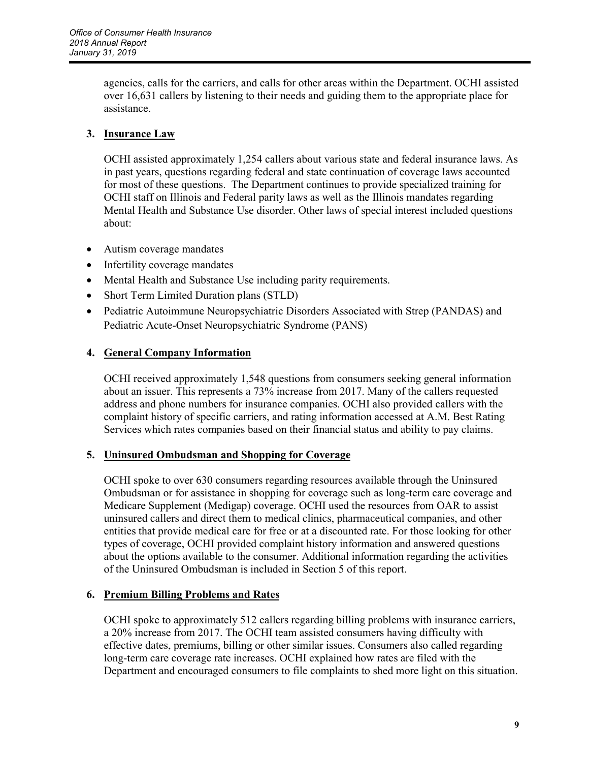agencies, calls for the carriers, and calls for other areas within the Department. OCHI assisted over 16,631 callers by listening to their needs and guiding them to the appropriate place for assistance.

#### **3. Insurance Law**

OCHI assisted approximately 1,254 callers about various state and federal insurance laws. As in past years, questions regarding federal and state continuation of coverage laws accounted for most of these questions. The Department continues to provide specialized training for OCHI staff on Illinois and Federal parity laws as well as the Illinois mandates regarding Mental Health and Substance Use disorder. Other laws of special interest included questions about:

- Autism coverage mandates
- Infertility coverage mandates
- Mental Health and Substance Use including parity requirements.
- Short Term Limited Duration plans (STLD)
- Pediatric Autoimmune Neuropsychiatric Disorders Associated with Strep (PANDAS) and Pediatric Acute-Onset Neuropsychiatric Syndrome (PANS)

#### **4. General Company Information**

OCHI received approximately 1,548 questions from consumers seeking general information about an issuer. This represents a 73% increase from 2017. Many of the callers requested address and phone numbers for insurance companies. OCHI also provided callers with the complaint history of specific carriers, and rating information accessed at A.M. Best Rating Services which rates companies based on their financial status and ability to pay claims.

#### **5. Uninsured Ombudsman and Shopping for Coverage**

OCHI spoke to over 630 consumers regarding resources available through the Uninsured Ombudsman or for assistance in shopping for coverage such as long-term care coverage and Medicare Supplement (Medigap) coverage. OCHI used the resources from OAR to assist uninsured callers and direct them to medical clinics, pharmaceutical companies, and other entities that provide medical care for free or at a discounted rate. For those looking for other types of coverage, OCHI provided complaint history information and answered questions about the options available to the consumer. Additional information regarding the activities of the Uninsured Ombudsman is included in Section 5 of this report.

#### **6. Premium Billing Problems and Rates**

OCHI spoke to approximately 512 callers regarding billing problems with insurance carriers, a 20% increase from 2017. The OCHI team assisted consumers having difficulty with effective dates, premiums, billing or other similar issues. Consumers also called regarding long-term care coverage rate increases. OCHI explained how rates are filed with the Department and encouraged consumers to file complaints to shed more light on this situation.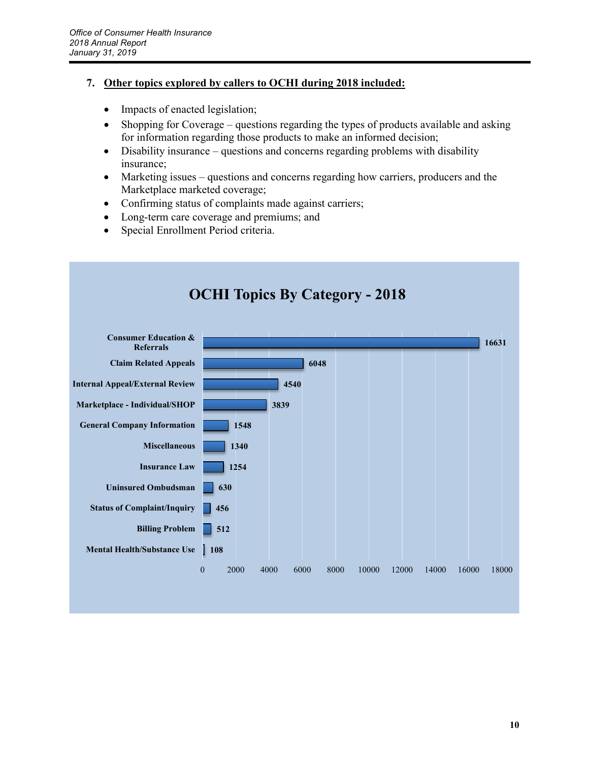#### **7. Other topics explored by callers to OCHI during 2018 included:**

- Impacts of enacted legislation;
- Shopping for Coverage questions regarding the types of products available and asking for information regarding those products to make an informed decision;
- Disability insurance questions and concerns regarding problems with disability insurance;
- Marketing issues questions and concerns regarding how carriers, producers and the Marketplace marketed coverage;
- Confirming status of complaints made against carriers;
- Long-term care coverage and premiums; and
- Special Enrollment Period criteria.

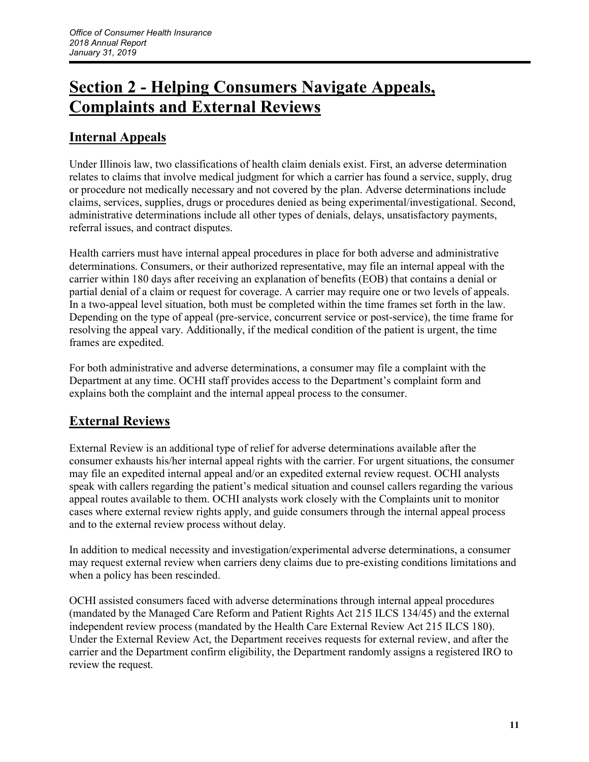## **Section 2 - Helping Consumers Navigate Appeals, Complaints and External Reviews**

### **Internal Appeals**

Under Illinois law, two classifications of health claim denials exist. First, an adverse determination relates to claims that involve medical judgment for which a carrier has found a service, supply, drug or procedure not medically necessary and not covered by the plan. Adverse determinations include claims, services, supplies, drugs or procedures denied as being experimental/investigational. Second, administrative determinations include all other types of denials, delays, unsatisfactory payments, referral issues, and contract disputes.

Health carriers must have internal appeal procedures in place for both adverse and administrative determinations. Consumers, or their authorized representative, may file an internal appeal with the carrier within 180 days after receiving an explanation of benefits (EOB) that contains a denial or partial denial of a claim or request for coverage. A carrier may require one or two levels of appeals. In a two-appeal level situation, both must be completed within the time frames set forth in the law. Depending on the type of appeal (pre-service, concurrent service or post-service), the time frame for resolving the appeal vary. Additionally, if the medical condition of the patient is urgent, the time frames are expedited.

For both administrative and adverse determinations, a consumer may file a complaint with the Department at any time. OCHI staff provides access to the Department's complaint form and explains both the complaint and the internal appeal process to the consumer.

### **External Reviews**

External Review is an additional type of relief for adverse determinations available after the consumer exhausts his/her internal appeal rights with the carrier. For urgent situations, the consumer may file an expedited internal appeal and/or an expedited external review request. OCHI analysts speak with callers regarding the patient's medical situation and counsel callers regarding the various appeal routes available to them. OCHI analysts work closely with the Complaints unit to monitor cases where external review rights apply, and guide consumers through the internal appeal process and to the external review process without delay.

In addition to medical necessity and investigation/experimental adverse determinations, a consumer may request external review when carriers deny claims due to pre-existing conditions limitations and when a policy has been rescinded.

OCHI assisted consumers faced with adverse determinations through internal appeal procedures (mandated by the Managed Care Reform and Patient Rights Act 215 ILCS 134/45) and the external independent review process (mandated by the Health Care External Review Act 215 ILCS 180). Under the External Review Act, the Department receives requests for external review, and after the carrier and the Department confirm eligibility, the Department randomly assigns a registered IRO to review the request.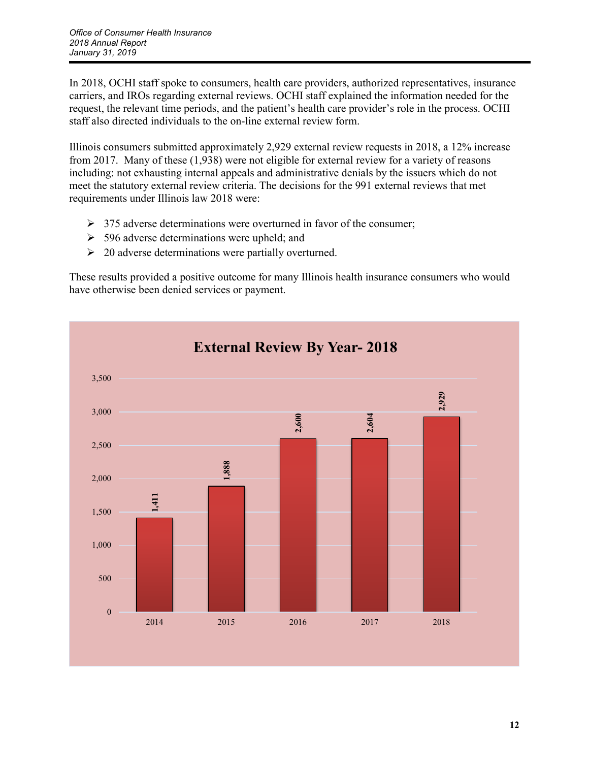In 2018, OCHI staff spoke to consumers, health care providers, authorized representatives, insurance carriers, and IROs regarding external reviews. OCHI staff explained the information needed for the request, the relevant time periods, and the patient's health care provider's role in the process. OCHI staff also directed individuals to the on-line external review form.

Illinois consumers submitted approximately 2,929 external review requests in 2018, a 12% increase from 2017. Many of these (1,938) were not eligible for external review for a variety of reasons including: not exhausting internal appeals and administrative denials by the issuers which do not meet the statutory external review criteria. The decisions for the 991 external reviews that met requirements under Illinois law 2018 were:

- $\geq$  375 adverse determinations were overturned in favor of the consumer;
- $\geq$  596 adverse determinations were upheld; and
- $\geq 20$  adverse determinations were partially overturned.

These results provided a positive outcome for many Illinois health insurance consumers who would have otherwise been denied services or payment.

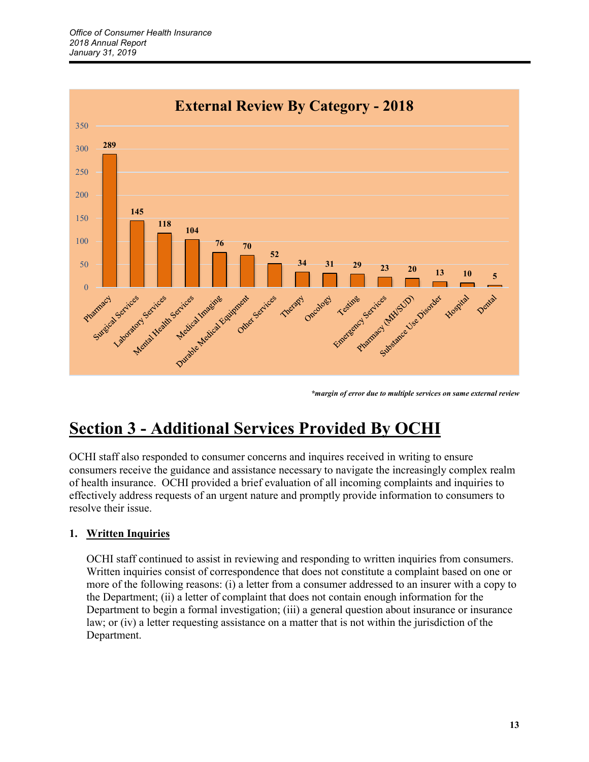

*\*margin of error due to multiple services on same external review*

## **Section 3 - Additional Services Provided By OCHI**

OCHI staff also responded to consumer concerns and inquires received in writing to ensure consumers receive the guidance and assistance necessary to navigate the increasingly complex realm of health insurance. OCHI provided a brief evaluation of all incoming complaints and inquiries to effectively address requests of an urgent nature and promptly provide information to consumers to resolve their issue.

#### **1. Written Inquiries**

OCHI staff continued to assist in reviewing and responding to written inquiries from consumers. Written inquiries consist of correspondence that does not constitute a complaint based on one or more of the following reasons: (i) a letter from a consumer addressed to an insurer with a copy to the Department; (ii) a letter of complaint that does not contain enough information for the Department to begin a formal investigation; (iii) a general question about insurance or insurance law; or (iv) a letter requesting assistance on a matter that is not within the jurisdiction of the Department.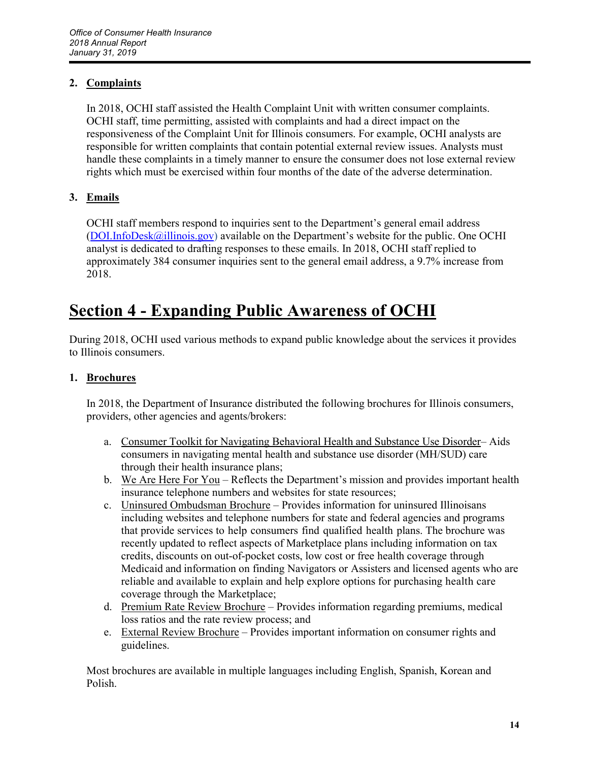#### **2. Complaints**

In 2018, OCHI staff assisted the Health Complaint Unit with written consumer complaints. OCHI staff, time permitting, assisted with complaints and had a direct impact on the responsiveness of the Complaint Unit for Illinois consumers. For example, OCHI analysts are responsible for written complaints that contain potential external review issues. Analysts must handle these complaints in a timely manner to ensure the consumer does not lose external review rights which must be exercised within four months of the date of the adverse determination.

#### **3. Emails**

OCHI staff members respond to inquiries sent to the Department's general email address [\(DOI.InfoDesk@illinois.gov\)](mailto:DOI.InfoDesk@illinois.gov) available on the Department's website for the public. One OCHI analyst is dedicated to drafting responses to these emails. In 2018, OCHI staff replied to approximately 384 consumer inquiries sent to the general email address, a 9.7% increase from 2018.

## **Section 4 - Expanding Public Awareness of OCHI**

During 2018, OCHI used various methods to expand public knowledge about the services it provides to Illinois consumers.

#### **1. Brochures**

In 2018, the Department of Insurance distributed the following brochures for Illinois consumers, providers, other agencies and agents/brokers:

- a. Consumer Toolkit for Navigating Behavioral Health and Substance Use Disorder– Aids consumers in navigating mental health and substance use disorder (MH/SUD) care through their health insurance plans;
- b. We Are Here For You Reflects the Department's mission and provides important health insurance telephone numbers and websites for state resources;
- c. Uninsured Ombudsman Brochure Provides information for uninsured Illinoisans including websites and telephone numbers for state and federal agencies and programs that provide services to help consumers find qualified health plans. The brochure was recently updated to reflect aspects of Marketplace plans including information on tax credits, discounts on out-of-pocket costs, low cost or free health coverage through Medicaid and information on finding Navigators or Assisters and licensed agents who are reliable and available to explain and help explore options for purchasing health care coverage through the Marketplace;
- d. Premium Rate Review Brochure Provides information regarding premiums, medical loss ratios and the rate review process; and
- e. External Review Brochure Provides important information on consumer rights and guidelines.

Most brochures are available in multiple languages including English, Spanish, Korean and Polish.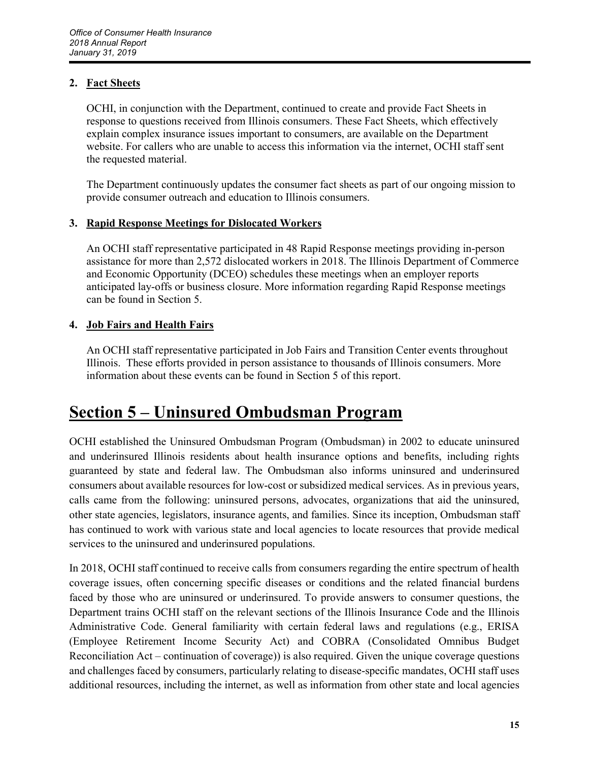#### **2. Fact Sheets**

OCHI, in conjunction with the Department, continued to create and provide Fact Sheets in response to questions received from Illinois consumers. These Fact Sheets, which effectively explain complex insurance issues important to consumers, are available on the Department website. For callers who are unable to access this information via the internet, OCHI staff sent the requested material.

The Department continuously updates the consumer fact sheets as part of our ongoing mission to provide consumer outreach and education to Illinois consumers.

#### **3. Rapid Response Meetings for Dislocated Workers**

An OCHI staff representative participated in 48 Rapid Response meetings providing in-person assistance for more than 2,572 dislocated workers in 2018. The Illinois Department of Commerce and Economic Opportunity (DCEO) schedules these meetings when an employer reports anticipated lay-offs or business closure. More information regarding Rapid Response meetings can be found in Section 5.

#### **4. Job Fairs and Health Fairs**

An OCHI staff representative participated in Job Fairs and Transition Center events throughout Illinois. These efforts provided in person assistance to thousands of Illinois consumers. More information about these events can be found in Section 5 of this report.

## **Section 5 – Uninsured Ombudsman Program**

OCHI established the Uninsured Ombudsman Program (Ombudsman) in 2002 to educate uninsured and underinsured Illinois residents about health insurance options and benefits, including rights guaranteed by state and federal law. The Ombudsman also informs uninsured and underinsured consumers about available resources for low-cost or subsidized medical services. As in previous years, calls came from the following: uninsured persons, advocates, organizations that aid the uninsured, other state agencies, legislators, insurance agents, and families. Since its inception, Ombudsman staff has continued to work with various state and local agencies to locate resources that provide medical services to the uninsured and underinsured populations.

In 2018, OCHI staff continued to receive calls from consumers regarding the entire spectrum of health coverage issues, often concerning specific diseases or conditions and the related financial burdens faced by those who are uninsured or underinsured. To provide answers to consumer questions, the Department trains OCHI staff on the relevant sections of the Illinois Insurance Code and the Illinois Administrative Code. General familiarity with certain federal laws and regulations (e.g., ERISA (Employee Retirement Income Security Act) and COBRA (Consolidated Omnibus Budget Reconciliation Act – continuation of coverage)) is also required. Given the unique coverage questions and challenges faced by consumers, particularly relating to disease-specific mandates, OCHI staff uses additional resources, including the internet, as well as information from other state and local agencies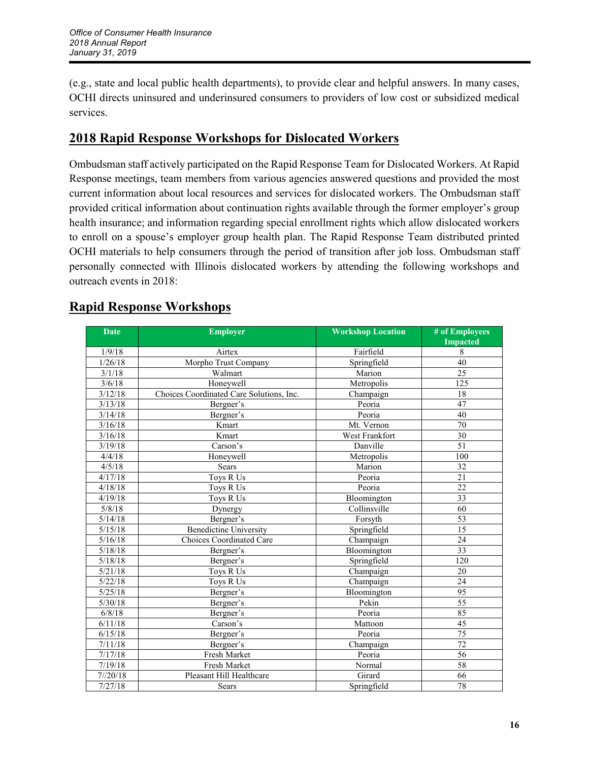(e.g., state and local public health departments), to provide clear and helpful answers. In many cases, OCHI directs uninsured and underinsured consumers to providers of low cost or subsidized medical services.

### **2018 Rapid Response Workshops for Dislocated Workers**

Ombudsman staff actively participated on the Rapid Response Team for Dislocated Workers. At Rapid Response meetings, team members from various agencies answered questions and provided the most current information about local resources and services for dislocated workers. The Ombudsman staff provided critical information about continuation rights available through the former employer's group health insurance; and information regarding special enrollment rights which allow dislocated workers to enroll on a spouse's employer group health plan. The Rapid Response Team distributed printed OCHI materials to help consumers through the period of transition after job loss. Ombudsman staff personally connected with Illinois dislocated workers by attending the following workshops and outreach events in 2018:

| <b>Date</b> | <b>Employer</b>                          | <b>Workshop Location</b> | # of Employees<br><b>Impacted</b> |
|-------------|------------------------------------------|--------------------------|-----------------------------------|
| 1/9/18      | Airtex                                   | Fairfield                | 8                                 |
| 1/26/18     | Morpho Trust Company                     | Springfield              | 40                                |
| 3/1/18      | Walmart                                  | Marion                   | 25                                |
| 3/6/18      | Honeywell                                | Metropolis               | 125                               |
| 3/12/18     | Choices Coordinated Care Solutions, Inc. | Champaign                | 18                                |
| 3/13/18     | Bergner's                                | Peoria                   | 47                                |
| 3/14/18     | Bergner's                                | Peoria                   | 40                                |
| 3/16/18     | Kmart                                    | Mt. Vernon               | 70                                |
| 3/16/18     | Kmart                                    | West Frankfort           | 30                                |
| 3/19/18     | Carson's                                 | Danville                 | 51                                |
| 4/4/18      | Honeywell                                | Metropolis               | 100                               |
| 4/5/18      | Sears                                    | Marion                   | $\overline{32}$                   |
| 4/17/18     | Toys R Us                                | Peoria                   | $\overline{21}$                   |
| 4/18/18     | Toys R Us                                | Peoria                   | $\overline{22}$                   |
| 4/19/18     | Toys R Us                                | Bloomington              | $\overline{33}$                   |
| 5/8/18      | Dynergy                                  | Collinsville             | 60                                |
| 5/14/18     | Bergner's                                | Forsyth                  | 53                                |
| 5/15/18     | <b>Benedictine University</b>            | Springfield              | 15                                |
| 5/16/18     | Choices Coordinated Care                 | Champaign                | 24                                |
| 5/18/18     | Bergner's                                | Bloomington              | $\overline{33}$                   |
| 5/18/18     | Bergner's                                | Springfield              | $\overline{120}$                  |
| 5/21/18     | Toys R Us                                | Champaign                | 20                                |
| 5/22/18     | Toys R Us                                | Champaign                | 24                                |
| 5/25/18     | Bergner's                                | Bloomington              | 95                                |
| 5/30/18     | Bergner's                                | Pekin                    | $\overline{55}$                   |
| 6/8/18      | Bergner's                                | Peoria                   | 85                                |
| 6/11/18     | Carson's                                 | Mattoon                  | $\overline{45}$                   |
| 6/15/18     | Bergner's                                | Peoria                   | $\overline{75}$                   |
| 7/11/18     | Bergner's                                | Champaign                | $\overline{72}$                   |
| 7/17/18     | Fresh Market                             | Peoria                   | $\overline{56}$                   |
| 7/19/18     | <b>Fresh Market</b>                      | Normal                   | 58                                |
| 7/20/18     | Pleasant Hill Healthcare                 | Girard                   | 66                                |
| 7/27/18     | Sears                                    | Springfield              | 78                                |

### **Rapid Response Workshops**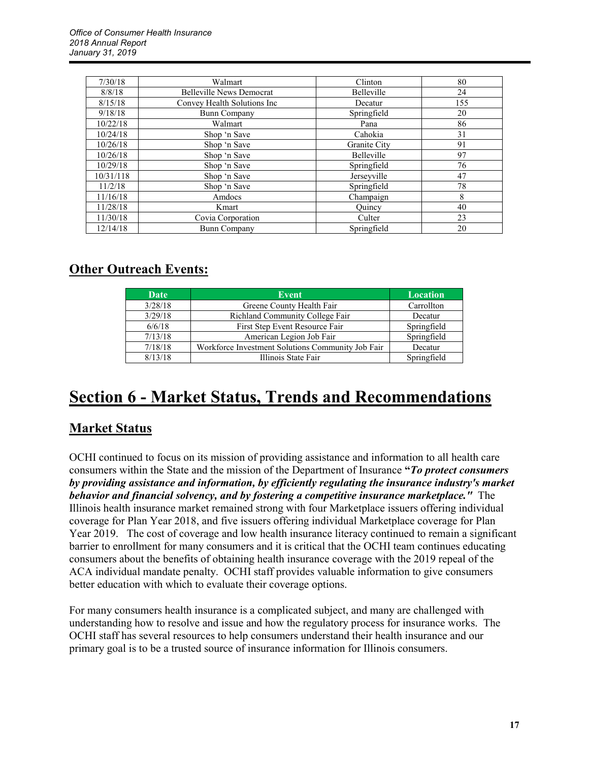| 7/30/18   | Walmart                         | Clinton      | 80  |
|-----------|---------------------------------|--------------|-----|
| 8/8/18    | <b>Belleville News Democrat</b> | Belleville   | 24  |
| 8/15/18   | Convey Health Solutions Inc     | Decatur      | 155 |
| 9/18/18   | <b>Bunn Company</b>             | Springfield  | 20  |
| 10/22/18  | Walmart                         | Pana         | 86  |
| 10/24/18  | Shop 'n Save                    | Cahokia      | 31  |
| 10/26/18  | Shop 'n Save                    | Granite City | 91  |
| 10/26/18  | Shop 'n Save                    | Belleville   | 97  |
| 10/29/18  | Shop 'n Save                    | Springfield  | 76  |
| 10/31/118 | Shop 'n Save                    | Jerseyville  | 47  |
| 11/2/18   | Shop 'n Save                    | Springfield  | 78  |
| 11/16/18  | Amdocs                          | Champaign    | 8   |
| 11/28/18  | Kmart                           | Ouincy       | 40  |
| 11/30/18  | Covia Corporation               | Culter       | 23  |
| 12/14/18  | <b>Bunn Company</b>             | Springfield  | 20  |

### **Other Outreach Events:**

| <b>Date</b> | <b>Event</b>                                      | <b>Location</b> |
|-------------|---------------------------------------------------|-----------------|
| 3/28/18     | Greene County Health Fair                         | Carrollton      |
| 3/29/18     | Richland Community College Fair                   | Decatur         |
| 6/6/18      | First Step Event Resource Fair                    | Springfield     |
| 7/13/18     | American Legion Job Fair                          | Springfield     |
| 7/18/18     | Workforce Investment Solutions Community Job Fair | Decatur         |
| 8/13/18     | Illinois State Fair                               | Springfield     |

## **Section 6 - Market Status, Trends and Recommendations**

### **Market Status**

OCHI continued to focus on its mission of providing assistance and information to all health care consumers within the State and the mission of the Department of Insurance **"***To protect consumers by providing assistance and information, by efficiently regulating the insurance industry's market behavior and financial solvency, and by fostering a competitive insurance marketplace."* The Illinois health insurance market remained strong with four Marketplace issuers offering individual coverage for Plan Year 2018, and five issuers offering individual Marketplace coverage for Plan Year 2019.The cost of coverage and low health insurance literacy continued to remain a significant barrier to enrollment for many consumers and it is critical that the OCHI team continues educating consumers about the benefits of obtaining health insurance coverage with the 2019 repeal of the ACA individual mandate penalty. OCHI staff provides valuable information to give consumers better education with which to evaluate their coverage options.

For many consumers health insurance is a complicated subject, and many are challenged with understanding how to resolve and issue and how the regulatory process for insurance works. The OCHI staff has several resources to help consumers understand their health insurance and our primary goal is to be a trusted source of insurance information for Illinois consumers.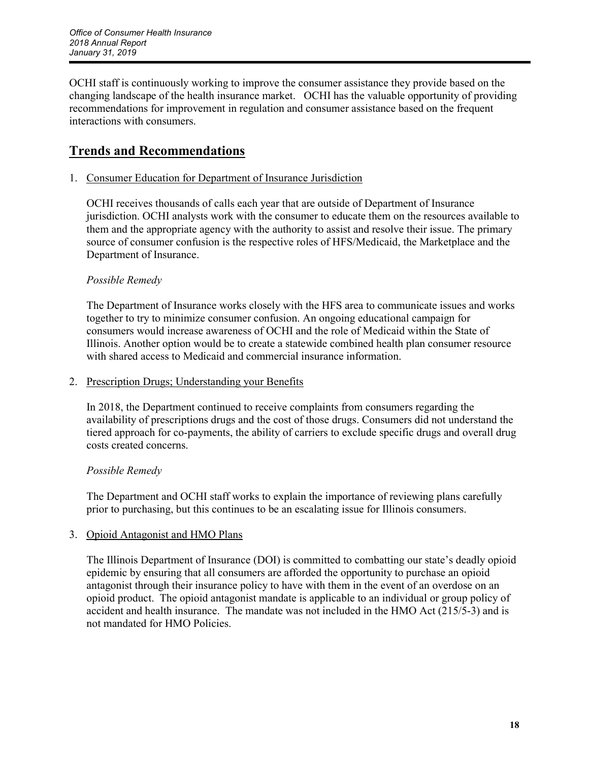OCHI staff is continuously working to improve the consumer assistance they provide based on the changing landscape of the health insurance market. OCHI has the valuable opportunity of providing recommendations for improvement in regulation and consumer assistance based on the frequent interactions with consumers.

### **Trends and Recommendations**

#### 1. Consumer Education for Department of Insurance Jurisdiction

OCHI receives thousands of calls each year that are outside of Department of Insurance jurisdiction. OCHI analysts work with the consumer to educate them on the resources available to them and the appropriate agency with the authority to assist and resolve their issue. The primary source of consumer confusion is the respective roles of HFS/Medicaid, the Marketplace and the Department of Insurance.

#### *Possible Remedy*

The Department of Insurance works closely with the HFS area to communicate issues and works together to try to minimize consumer confusion. An ongoing educational campaign for consumers would increase awareness of OCHI and the role of Medicaid within the State of Illinois. Another option would be to create a statewide combined health plan consumer resource with shared access to Medicaid and commercial insurance information

#### 2. Prescription Drugs; Understanding your Benefits

In 2018, the Department continued to receive complaints from consumers regarding the availability of prescriptions drugs and the cost of those drugs. Consumers did not understand the tiered approach for co-payments, the ability of carriers to exclude specific drugs and overall drug costs created concerns.

#### *Possible Remedy*

The Department and OCHI staff works to explain the importance of reviewing plans carefully prior to purchasing, but this continues to be an escalating issue for Illinois consumers.

#### 3. Opioid Antagonist and HMO Plans

The Illinois Department of Insurance (DOI) is committed to combatting our state's deadly opioid epidemic by ensuring that all consumers are afforded the opportunity to purchase an opioid antagonist through their insurance policy to have with them in the event of an overdose on an opioid product. The opioid antagonist mandate is applicable to an individual or group policy of accident and health insurance. The mandate was not included in the HMO Act (215/5-3) and is not mandated for HMO Policies.